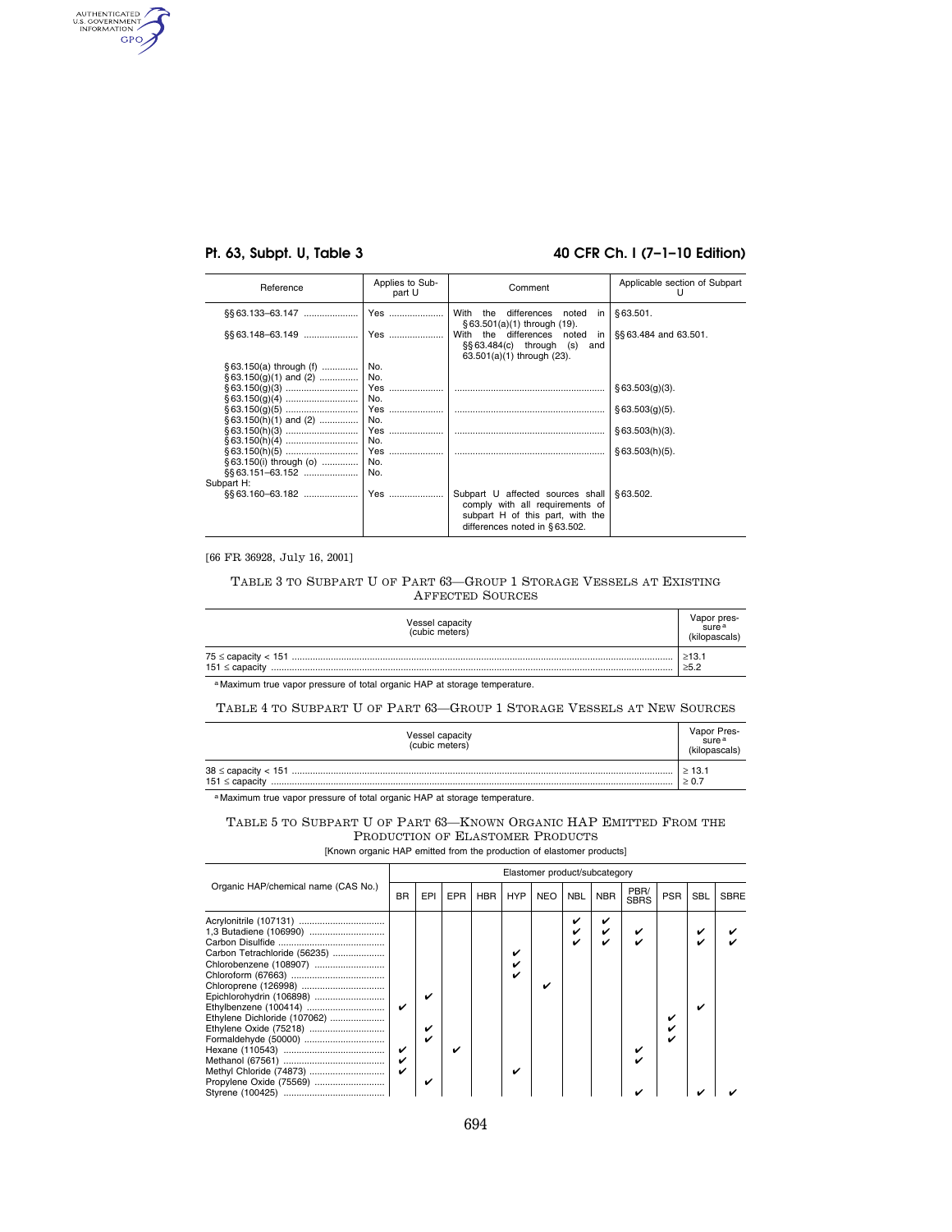AUTHENTICATED GPO

# **Pt. 63, Subpt. U, Table 3 40 CFR Ch. I (7–1–10 Edition)**

| Reference                                    | Applies to Sub-<br>part U | Comment                                                                                                                                      | Applicable section of Subpart |
|----------------------------------------------|---------------------------|----------------------------------------------------------------------------------------------------------------------------------------------|-------------------------------|
| §§63.133–63.147                              | Yes                       | With the<br>differences<br>noted<br>in l                                                                                                     | \$63.501.                     |
| \$\$63.148-63.149                            | Yes                       | $$63.501(a)(1)$ through $(19)$ .<br>With the differences noted<br>in<br>$\S$ § 63.484(c) through<br>(s)<br>and<br>63.501(a)(1) through (23). | §§ 63.484 and 63.501.         |
| § 63.150(a) through (f)                      | No.                       |                                                                                                                                              |                               |
| $§ 63.150(q)(1)$ and (2)                     | No.<br>Yes<br>No.         |                                                                                                                                              | § 63.503(q)(3).               |
| $§ 63.150(h)(1)$ and (2)                     | Yes<br>No.                |                                                                                                                                              | § 63.503(q)(5).               |
|                                              | Yes<br>No.                |                                                                                                                                              | §63.503(h)(3).                |
| § 63.150(i) through (o)<br>\$\$63.151-63.152 | Yes<br>No.<br>No.         |                                                                                                                                              | \$63.503(h)(5).               |
| Subpart H:                                   |                           |                                                                                                                                              |                               |
|                                              | Yes                       | Subpart U affected sources shall<br>comply with all requirements of<br>subpart H of this part, with the<br>differences noted in §63.502.     | §63.502.                      |

[66 FR 36928, July 16, 2001]

## TABLE 3 TO SUBPART U OF PART 63—GROUP 1 STORAGE VESSELS AT EXISTING AFFECTED SOURCES

| <b>Vessel capacity</b><br>(cubic meters) |                           |  |  |  |
|------------------------------------------|---------------------------|--|--|--|
| 151 $\leq$ capacity                      | $\geq 13.1$<br>$\geq 5.2$ |  |  |  |

a Maximum true vapor pressure of total organic HAP at storage temperature.

TABLE 4 TO SUBPART U OF PART 63—GROUP 1 STORAGE VESSELS AT NEW SOURCES

| Vessel capacity<br>(cubic meters) |                           |  |  |
|-----------------------------------|---------------------------|--|--|
| $151 \leq$ capacity               | $\geq 13.1$<br>$\geq 0.7$ |  |  |

a Maximum true vapor pressure of total organic HAP at storage temperature.

| TABLE 5 TO SUBPART U OF PART 63—KNOWN ORGANIC HAP EMITTED FROM THE |  |                                  |  |  |
|--------------------------------------------------------------------|--|----------------------------------|--|--|
|                                                                    |  | PRODUCTION OF ELASTOMER PRODUCTS |  |  |

[Known organic HAP emitted from the production of elastomer products]

|                                                                                                                                                                                                                                                                                                        | Elastomer product/subcategory |                  |            |            |            |            |            |            |                     |            |            |      |
|--------------------------------------------------------------------------------------------------------------------------------------------------------------------------------------------------------------------------------------------------------------------------------------------------------|-------------------------------|------------------|------------|------------|------------|------------|------------|------------|---------------------|------------|------------|------|
| Organic HAP/chemical name (CAS No.)                                                                                                                                                                                                                                                                    | <b>BR</b>                     | EPI              | <b>EPR</b> | <b>HBR</b> | <b>HYP</b> | <b>NEO</b> | <b>NBL</b> | <b>NBR</b> | PBR/<br><b>SBRS</b> | <b>PSR</b> | <b>SBL</b> | SBRE |
| Acrylonitrile (107131)<br>1,3 Butadiene (106990)<br>Carbon Tetrachloride (56235)<br>Chlorobenzene (108907)<br>Chloroprene (126998)<br>Epichlorohydrin (106898)<br>Ethylene Dichloride (107062)<br>Ethylene Oxide (75218)<br>Formaldehyde (50000)<br>Methyl Chloride (74873)<br>Propylene Oxide (75569) |                               | ✓<br>✓<br>✓<br>v | ✓          |            | v<br>✓     |            |            |            |                     |            | ✓          |      |
|                                                                                                                                                                                                                                                                                                        |                               |                  |            |            |            |            |            |            |                     |            |            |      |